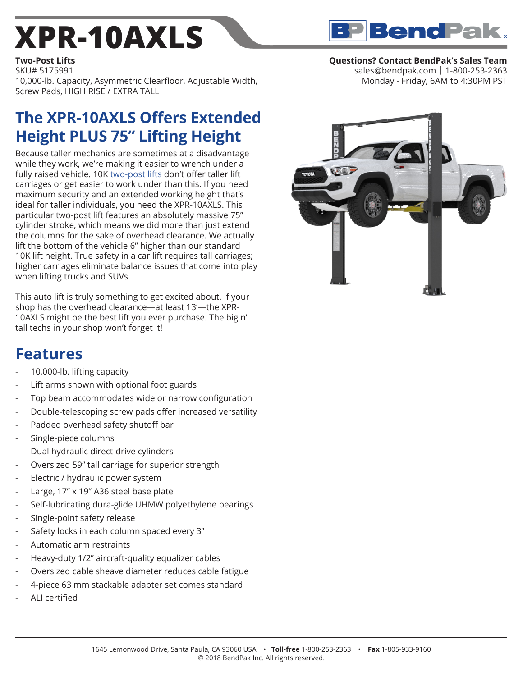## **[XPR-10AXLS](https://www.bendpak.com/car-lifts/two-post-lifts/xpr-10axls/)**

**Two-Post Lifts** SKU# 5175991 10,000-lb. Capacity, Asymmetric Clearfloor, Adjustable Width, Screw Pads, HIGH RISE / EXTRA TALL

## **The XPR-10AXLS Offers Extended Height PLUS 75" Lifting Height**

Because taller mechanics are sometimes at a disadvantage while they work, we're making it easier to wrench under a fully raised vehicle. 10K [two-post lifts](https://www.bendpak.com/car-lifts/two-post-lifts/) don't offer taller lift carriages or get easier to work under than this. If you need maximum security and an extended working height that's ideal for taller individuals, you need the XPR-10AXLS. This particular two-post lift features an absolutely massive 75" cylinder stroke, which means we did more than just extend the columns for the sake of overhead clearance. We actually lift the bottom of the vehicle 6" higher than our standard 10K lift height. True safety in a car lift requires tall carriages; higher carriages eliminate balance issues that come into play when lifting trucks and SUVs.

This auto lift is truly something to get excited about. If your shop has the overhead clearance—at least 13'—the XPR-10AXLS might be the best lift you ever purchase. The big n' tall techs in your shop won't forget it!

## **Features**

- 10,000-lb. lifting capacity
- Lift arms shown with optional foot guards
- Top beam accommodates wide or narrow configuration
- Double-telescoping screw pads offer increased versatility
- Padded overhead safety shutoff bar
- Single-piece columns
- Dual hydraulic direct-drive cylinders
- Oversized 59" tall carriage for superior strength
- Electric / hydraulic power system
- Large, 17" x 19" A36 steel base plate
- Self-lubricating dura-glide UHMW polyethylene bearings
- Single-point safety release
- Safety locks in each column spaced every 3"
- Automatic arm restraints
- Heavy-duty 1/2" aircraft-quality equalizer cables
- Oversized cable sheave diameter reduces cable fatigue
- 4-piece 63 mm stackable adapter set comes standard
- ALI certified



sales@bendpak.com | 1-800-253-2363 Monday - Friday, 6AM to 4:30PM PST

**BP** BendPak.